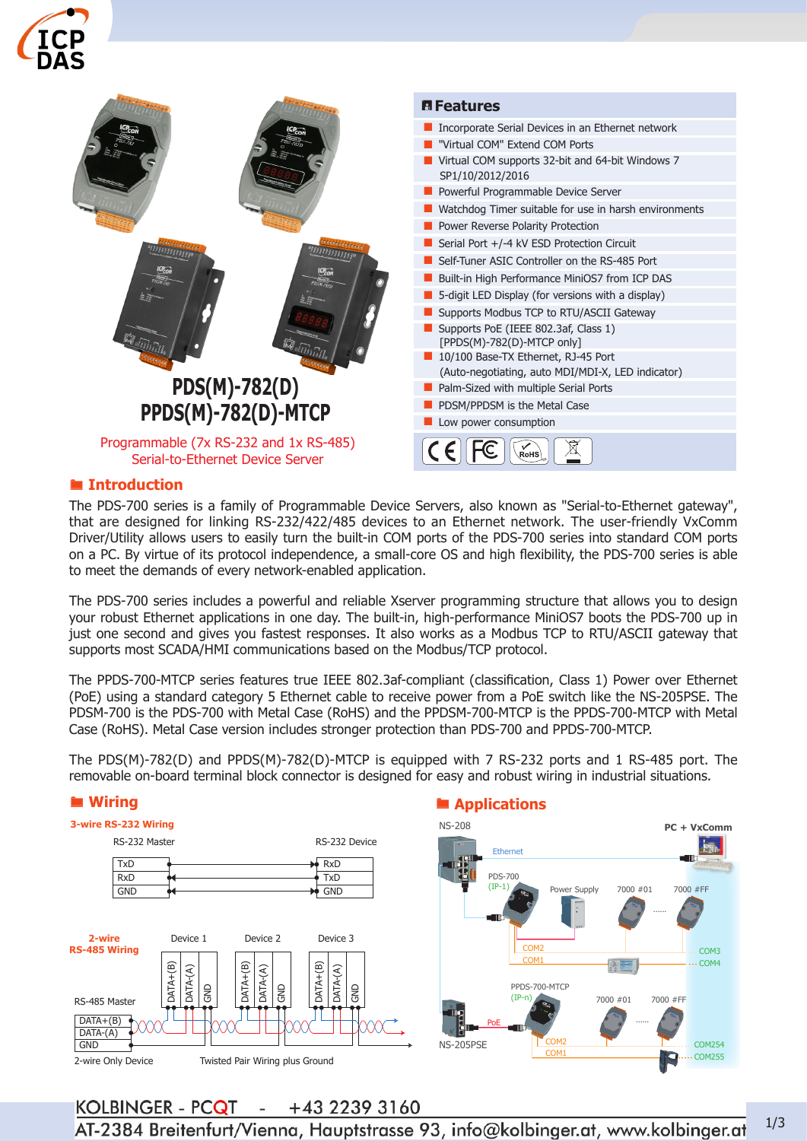



#### ® **Introduction**

The PDS-700 series is a family of Programmable Device Servers, also known as "Serial-to-Ethernet gateway", that are designed for linking RS-232/422/485 devices to an Ethernet network. The user-friendly VxComm Driver/Utility allows users to easily turn the built-in COM ports of the PDS-700 series into standard COM ports on a PC. By virtue of its protocol independence, a small-core OS and high flexibility, the PDS-700 series is able to meet the demands of every network-enabled application.

The PDS-700 series includes a powerful and reliable Xserver programming structure that allows you to design your robust Ethernet applications in one day. The built-in, high-performance MiniOS7 boots the PDS-700 up in just one second and gives you fastest responses. It also works as a Modbus TCP to RTU/ASCII gateway that supports most SCADA/HMI communications based on the Modbus/TCP protocol.

The PPDS-700-MTCP series features true IEEE 802.3af-compliant (classification, Class 1) Power over Ethernet (PoE) using a standard category 5 Ethernet cable to receive power from a PoE switch like the NS-205PSE. The PDSM-700 is the PDS-700 with Metal Case (RoHS) and the PPDSM-700-MTCP is the PPDS-700-MTCP with Metal Case (RoHS). Metal Case version includes stronger protection than PDS-700 and PPDS-700-MTCP.

The PDS(M)-782(D) and PPDS(M)-782(D)-MTCP is equipped with 7 RS-232 ports and 1 RS-485 port. The removable on-board terminal block connector is designed for easy and robust wiring in industrial situations.

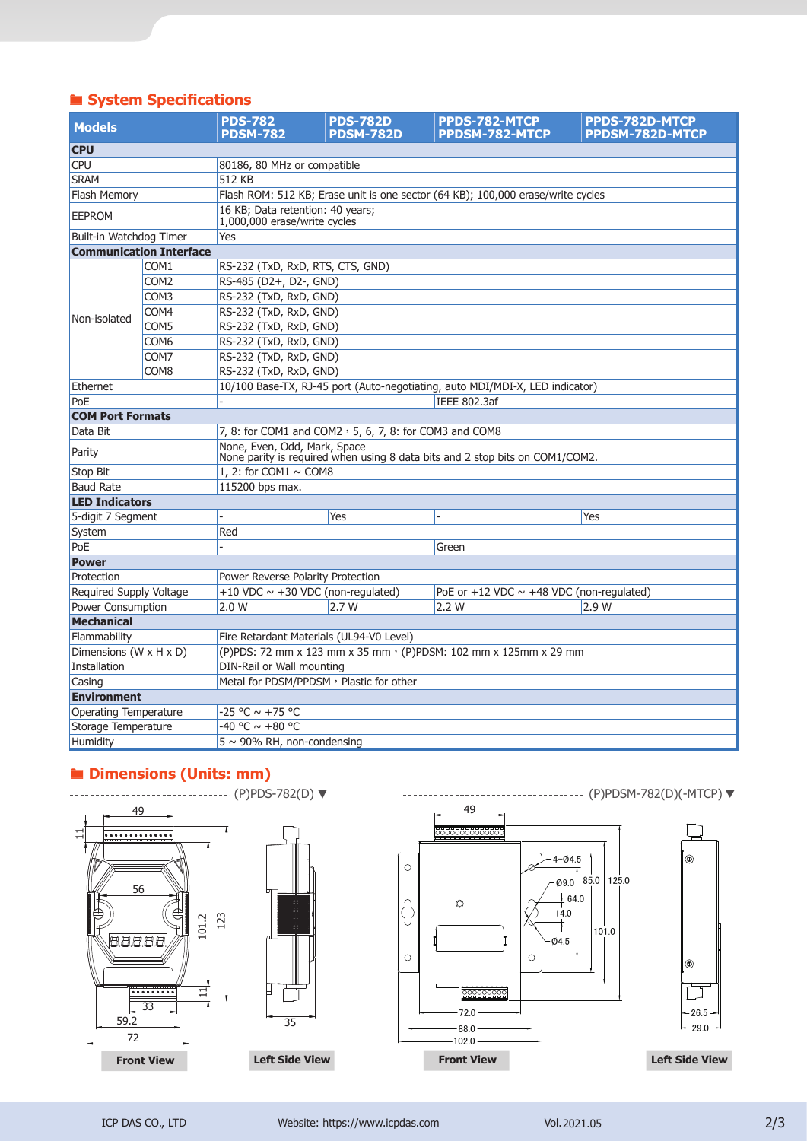# ® **System Specifications**

| <b>Models</b>           |                                | <b>PDS-782</b><br><b>PDSM-782</b>                                                                            | <b>PDS-782D</b><br><b>PDSM-782D</b> | <b>PPDS-782-MTCP</b><br>PPDSM-782-MTCP          | <b>PPDS-782D-MTCP</b><br><b>PPDSM-782D-MTCP</b> |  |  |
|-------------------------|--------------------------------|--------------------------------------------------------------------------------------------------------------|-------------------------------------|-------------------------------------------------|-------------------------------------------------|--|--|
| <b>CPU</b>              |                                |                                                                                                              |                                     |                                                 |                                                 |  |  |
| <b>CPU</b>              |                                | 80186, 80 MHz or compatible                                                                                  |                                     |                                                 |                                                 |  |  |
| <b>SRAM</b>             |                                | 512 KB                                                                                                       |                                     |                                                 |                                                 |  |  |
| <b>Flash Memory</b>     |                                | Flash ROM: 512 KB; Erase unit is one sector (64 KB); 100,000 erase/write cycles                              |                                     |                                                 |                                                 |  |  |
| <b>EEPROM</b>           |                                | 16 KB; Data retention: 40 years;<br>1,000,000 erase/write cycles                                             |                                     |                                                 |                                                 |  |  |
| Built-in Watchdog Timer |                                | Yes                                                                                                          |                                     |                                                 |                                                 |  |  |
|                         | <b>Communication Interface</b> |                                                                                                              |                                     |                                                 |                                                 |  |  |
|                         | COM <sub>1</sub>               | RS-232 (TxD, RxD, RTS, CTS, GND)                                                                             |                                     |                                                 |                                                 |  |  |
|                         | COM <sub>2</sub>               | RS-485 (D2+, D2-, GND)                                                                                       |                                     |                                                 |                                                 |  |  |
|                         | COM <sub>3</sub>               | RS-232 (TxD, RxD, GND)                                                                                       |                                     |                                                 |                                                 |  |  |
|                         | COM4                           | RS-232 (TxD, RxD, GND)                                                                                       |                                     |                                                 |                                                 |  |  |
| Non-isolated            | COM5                           | RS-232 (TxD, RxD, GND)                                                                                       |                                     |                                                 |                                                 |  |  |
|                         | COM <sub>6</sub>               | RS-232 (TxD, RxD, GND)                                                                                       |                                     |                                                 |                                                 |  |  |
|                         | COM7                           | RS-232 (TxD, RxD, GND)                                                                                       |                                     |                                                 |                                                 |  |  |
|                         | COM8                           | RS-232 (TxD, RxD, GND)                                                                                       |                                     |                                                 |                                                 |  |  |
| Ethernet                |                                | 10/100 Base-TX, RJ-45 port (Auto-negotiating, auto MDI/MDI-X, LED indicator)                                 |                                     |                                                 |                                                 |  |  |
| PoE                     |                                | <b>IEEE 802.3af</b>                                                                                          |                                     |                                                 |                                                 |  |  |
| <b>COM Port Formats</b> |                                |                                                                                                              |                                     |                                                 |                                                 |  |  |
| Data Bit                |                                | 7, 8: for COM1 and COM2 $\cdot$ 5, 6, 7, 8: for COM3 and COM8                                                |                                     |                                                 |                                                 |  |  |
| Parity                  |                                | None, Even, Odd, Mark, Space<br>None parity is required when using 8 data bits and 2 stop bits on COM1/COM2. |                                     |                                                 |                                                 |  |  |
| Stop Bit                |                                | 1, 2: for COM1 $\sim$ COM8                                                                                   |                                     |                                                 |                                                 |  |  |
| <b>Baud Rate</b>        |                                | 115200 bps max.                                                                                              |                                     |                                                 |                                                 |  |  |
| <b>LED Indicators</b>   |                                |                                                                                                              |                                     |                                                 |                                                 |  |  |
| 5-digit 7 Segment       |                                |                                                                                                              | Yes                                 |                                                 | Yes                                             |  |  |
| System                  |                                | Red                                                                                                          |                                     |                                                 |                                                 |  |  |
| PoE                     |                                |                                                                                                              |                                     | Green                                           |                                                 |  |  |
| <b>Power</b>            |                                |                                                                                                              |                                     |                                                 |                                                 |  |  |
| Protection              |                                | Power Reverse Polarity Protection                                                                            |                                     |                                                 |                                                 |  |  |
| Required Supply Voltage |                                | +10 VDC $\sim$ +30 VDC (non-regulated)                                                                       |                                     | PoE or $+12$ VDC $\sim$ +48 VDC (non-regulated) |                                                 |  |  |
| Power Consumption       |                                | 2.0 W                                                                                                        | 2.7W                                | 2.2W                                            | 2.9 W                                           |  |  |
| <b>Mechanical</b>       |                                |                                                                                                              |                                     |                                                 |                                                 |  |  |
| Flammability            |                                | Fire Retardant Materials (UL94-V0 Level)                                                                     |                                     |                                                 |                                                 |  |  |
| Dimensions (W x H x D)  |                                | (P)PDS: 72 mm x 123 mm x 35 mm · (P)PDSM: 102 mm x 125mm x 29 mm                                             |                                     |                                                 |                                                 |  |  |
| Installation            |                                | DIN-Rail or Wall mounting                                                                                    |                                     |                                                 |                                                 |  |  |
| Casing                  |                                | Metal for PDSM/PPDSM, Plastic for other                                                                      |                                     |                                                 |                                                 |  |  |
| <b>Environment</b>      |                                |                                                                                                              |                                     |                                                 |                                                 |  |  |
| Operating Temperature   |                                | -25 °C $\sim$ +75 °C                                                                                         |                                     |                                                 |                                                 |  |  |
| Storage Temperature     |                                | -40 °C $\sim$ +80 °C                                                                                         |                                     |                                                 |                                                 |  |  |
| Humidity                |                                | $5 \sim 90\%$ RH, non-condensing                                                                             |                                     |                                                 |                                                 |  |  |

## ® **Dimensions (Units: mm)**